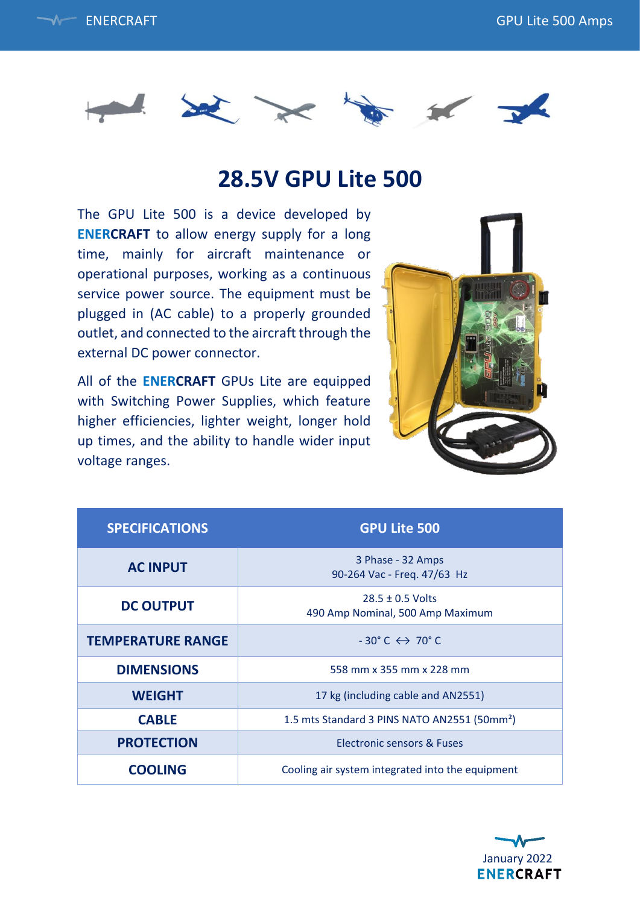



## **28.5V GPU Lite 500**

The GPU Lite 500 is a device developed by **ENERCRAFT** to allow energy supply for a long time, mainly for aircraft maintenance or operational purposes, working as a continuous service power source. The equipment must be plugged in (AC cable) to a properly grounded outlet, and connected to the aircraft through the external DC power connector.

All of the **ENERCRAFT** GPUs Lite are equipped with Switching Power Supplies, which feature higher efficiencies, lighter weight, longer hold up times, and the ability to handle wider input voltage ranges.



| <b>SPECIFICATIONS</b>    | <b>GPU Lite 500</b>                                      |
|--------------------------|----------------------------------------------------------|
| <b>AC INPUT</b>          | 3 Phase - 32 Amps<br>90-264 Vac - Freq. 47/63 Hz         |
| <b>DC OUTPUT</b>         | $28.5 \pm 0.5$ Volts<br>490 Amp Nominal, 500 Amp Maximum |
| <b>TEMPERATURE RANGE</b> | $-30^{\circ}$ C $\leftrightarrow$ 70 $^{\circ}$ C        |
| <b>DIMENSIONS</b>        | 558 mm x 355 mm x 228 mm                                 |
| <b>WEIGHT</b>            | 17 kg (including cable and AN2551)                       |
| <b>CABLE</b>             | 1.5 mts Standard 3 PINS NATO AN2551 (50mm <sup>2</sup> ) |
| <b>PROTECTION</b>        | <b>Electronic sensors &amp; Fuses</b>                    |
| <b>COOLING</b>           | Cooling air system integrated into the equipment         |